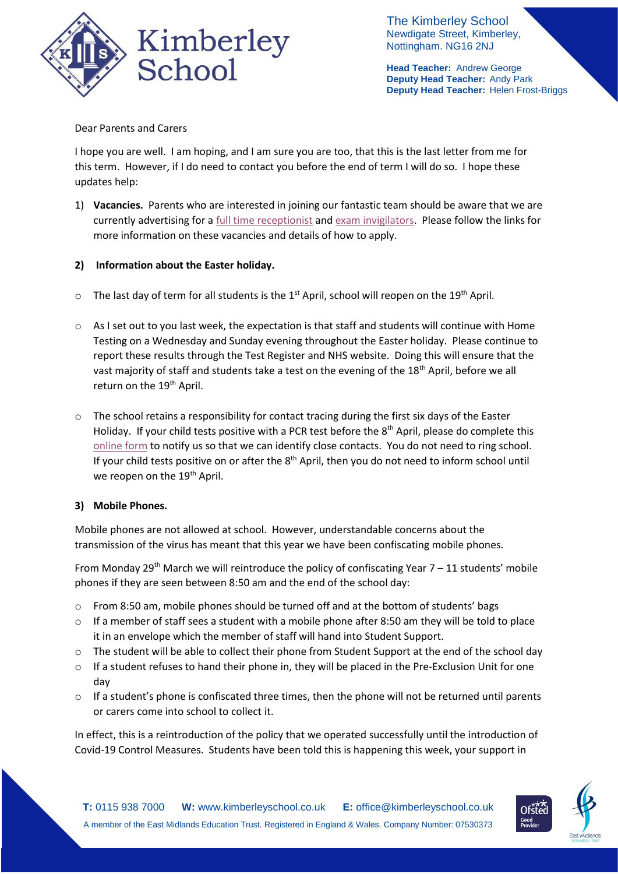

The Kimberley School Newdigate Street, Kimberley, Nottingham. NG16 2NJ

**Head Teacher:** Andrew George **Deputy Head Teacher:** Andy Park **Deputy Head Teacher:** Helen Frost-Briggs

## Dear Parents and Carers

I hope you are well. I am hoping, and I am sure you are too, that this is the last letter from me for this term. However, if I do need to contact you before the end of term I will do so. I hope these updates help:

1) **Vacancies.** Parents who are interested in joining our fantastic team should be aware that we are currently advertising for a [full time receptionist](https://www.emet.academy/vacancies?pid=12&vacancyid=207) and [exam invigilators.](https://www.emet.academy/vacancies?pid=12&vacancyid=210) Please follow the links for more information on these vacancies and details of how to apply.

## **2) Information about the Easter holiday.**

- $\circ$  The last day of term for all students is the 1<sup>st</sup> April, school will reopen on the 19<sup>th</sup> April.
- $\circ$  As I set out to you last week, the expectation is that staff and students will continue with Home Testing on a Wednesday and Sunday evening throughout the Easter holiday. Please continue to report these results through the Test Register and NHS website. Doing this will ensure that the vast majority of staff and students take a test on the evening of the 18th April, before we all return on the 19<sup>th</sup> April.
- $\circ$  The school retains a responsibility for contact tracing during the first six days of the Easter Holiday. If your child tests positive with a PCR test before the 8<sup>th</sup> April, please do complete this [online form](https://forms.office.com/Pages/ResponsePage.aspx?id=h4JaFYDSiky-6glrnTAOBmQEdvWSEThNlRxq25LyiOZUNkc4Rzc0Sjg4TkNaVkxLWjE5REM2WE9VSC4u) to notify us so that we can identify close contacts. You do not need to ring school. If your child tests positive on or after the 8<sup>th</sup> April, then you do not need to inform school until we reopen on the 19<sup>th</sup> April.

### **3) Mobile Phones.**

Mobile phones are not allowed at school. However, understandable concerns about the transmission of the virus has meant that this year we have been confiscating mobile phones.

From Monday 29<sup>th</sup> March we will reintroduce the policy of confiscating Year  $7 - 11$  students' mobile phones if they are seen between 8:50 am and the end of the school day:

- o From 8:50 am, mobile phones should be turned off and at the bottom of students' bags
- o If a member of staff sees a student with a mobile phone after 8:50 am they will be told to place it in an envelope which the member of staff will hand into Student Support.
- o The student will be able to collect their phone from Student Support at the end of the school day
- $\circ$  If a student refuses to hand their phone in, they will be placed in the Pre-Exclusion Unit for one day
- $\circ$  If a student's phone is confiscated three times, then the phone will not be returned until parents or carers come into school to collect it.

In effect, this is a reintroduction of the policy that we operated successfully until the introduction of Covid-19 Control Measures. Students have been told this is happening this week, your support in